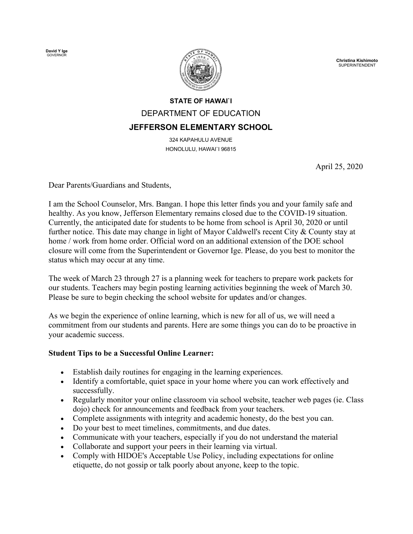**David Y Ige** GOVERNOR



**Christina Kishimoto** SUPERINTENDENT

## **STATE OF HAWAI`I** DEPARTMENT OF EDUCATION **JEFFERSON ELEMENTARY SCHOOL**

324 KAPAHULU AVENUE HONOLULU, HAWAI`I 96815

April 25, 2020

Dear Parents/Guardians and Students,

I am the School Counselor, Mrs. Bangan. I hope this letter finds you and your family safe and healthy. As you know, Jefferson Elementary remains closed due to the COVID-19 situation. Currently, the anticipated date for students to be home from school is April 30, 2020 or until further notice. This date may change in light of Mayor Caldwell's recent City & County stay at home / work from home order. Official word on an additional extension of the DOE school closure will come from the Superintendent or Governor Ige. Please, do you best to monitor the status which may occur at any time.

The week of March 23 through 27 is a planning week for teachers to prepare work packets for our students. Teachers may begin posting learning activities beginning the week of March 30. Please be sure to begin checking the school website for updates and/or changes.

As we begin the experience of online learning, which is new for all of us, we will need a commitment from our students and parents. Here are some things you can do to be proactive in your academic success.

## **Student Tips to be a Successful Online Learner:**

- Establish daily routines for engaging in the learning experiences.
- Identify a comfortable, quiet space in your home where you can work effectively and successfully.
- Regularly monitor your online classroom via school website, teacher web pages (ie. Class dojo) check for announcements and feedback from your teachers.
- Complete assignments with integrity and academic honesty, do the best you can.
- Do your best to meet timelines, commitments, and due dates.
- Communicate with your teachers, especially if you do not understand the material
- Collaborate and support your peers in their learning via virtual.
- Comply with HIDOE's Acceptable Use Policy, including expectations for online etiquette, do not gossip or talk poorly about anyone, keep to the topic.